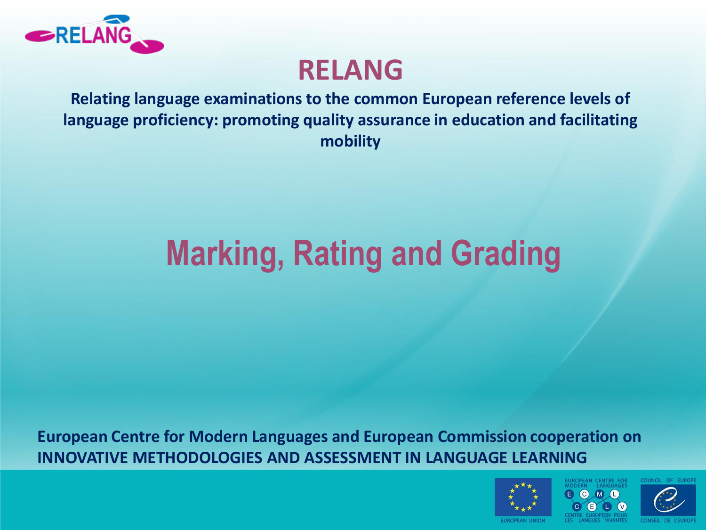

#### **RELANG**

**Relating language examinations to the common European reference levels of language proficiency: promoting quality assurance in education and facilitating mobility**

# **Marking, Rating and Grading**

**European Centre for Modern Languages and European Commission cooperation on INNOVATIVE METHODOLOGIES AND ASSESSMENT IN LANGUAGE LEARNING** 



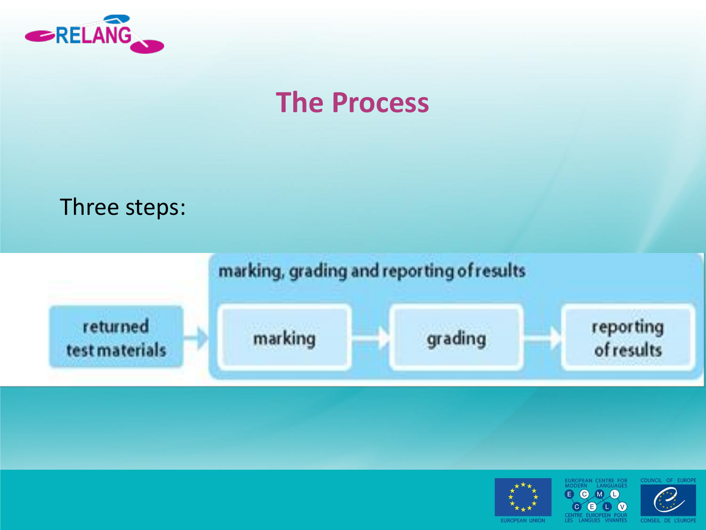

#### **The Process**







EUROPEAN CENTRE FOR **CODO** 

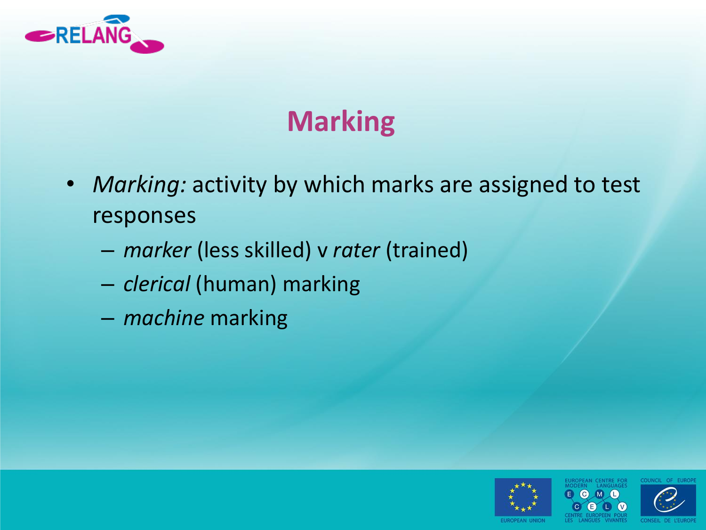

## **Marking**

- *Marking:* activity by which marks are assigned to test responses
	- *marker* (less skilled) v *rater* (trained)
	- *clerical* (human) marking
	- *machine* marking



COUNCIL OF EUR

CENTRE FOR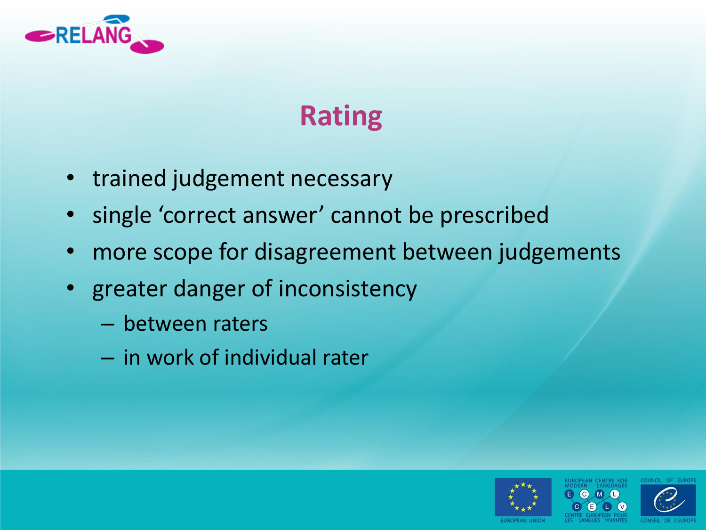

## **Rating**

- trained judgement necessary
- single 'correct answer' cannot be prescribed
- more scope for disagreement between judgements
- greater danger of inconsistency
	- between raters
	- in work of individual rater

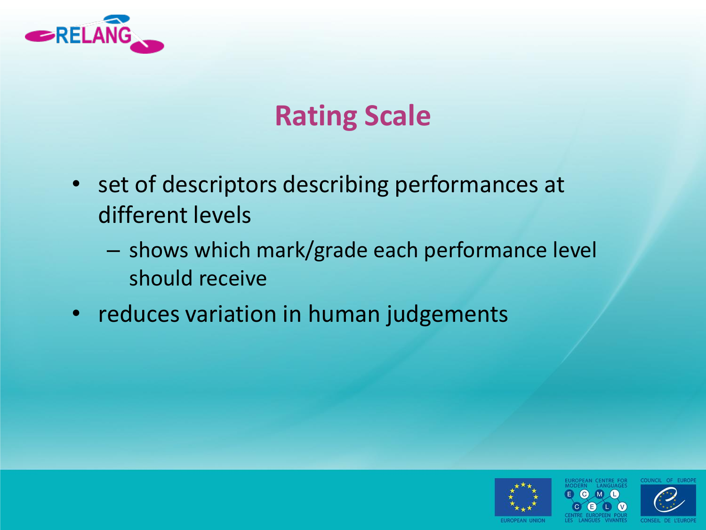

#### **Rating Scale**

- set of descriptors describing performances at different levels
	- shows which mark/grade each performance level should receive
- reduces variation in human judgements



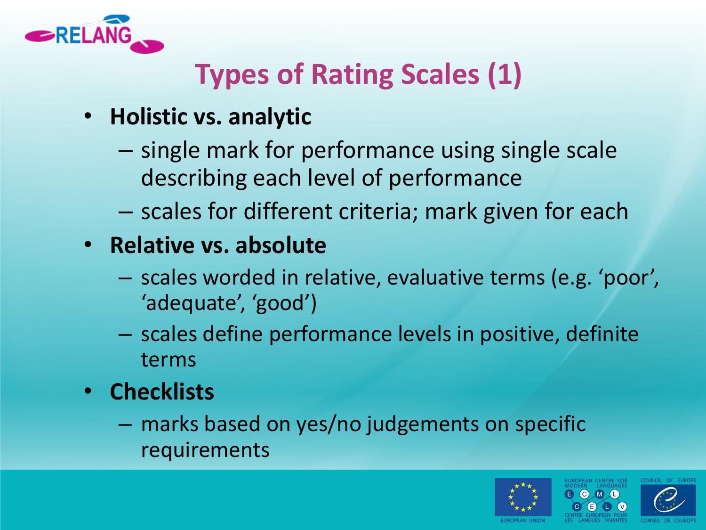

### **Types of Rating Scales (1)**

- **Holistic vs. analytic**
	- single mark for performance using single scale describing each level of performance
	- scales for different criteria; mark given for each
- **Relative vs. absolute**
	- scales worded in relative, evaluative terms (e.g. 'poor', 'adequate', 'good')
	- scales define performance levels in positive, definite terms
- **Checklists**
	- marks based on yes/no judgements on specific requirements

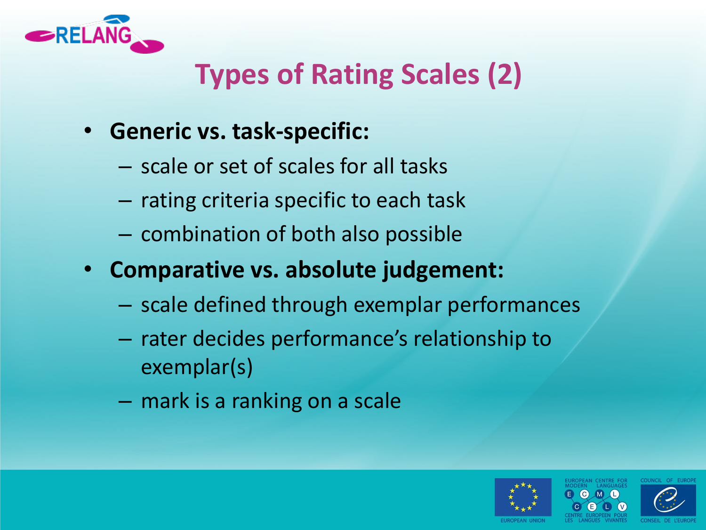

## **Types of Rating Scales (2)**

- **Generic vs. task-specific:** 
	- scale or set of scales for all tasks
	- rating criteria specific to each task
	- combination of both also possible
- **Comparative vs. absolute judgement:**
	- scale defined through exemplar performances
	- rater decides performance's relationship to exemplar(s)
	- mark is a ranking on a scale



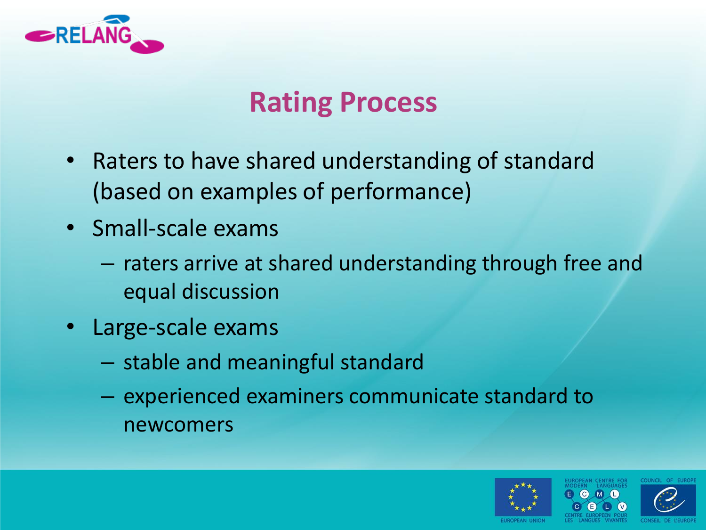

#### **Rating Process**

- Raters to have shared understanding of standard (based on examples of performance)
- Small-scale exams
	- raters arrive at shared understanding through free and equal discussion
- Large-scale exams
	- stable and meaningful standard
	- experienced examiners communicate standard to newcomers



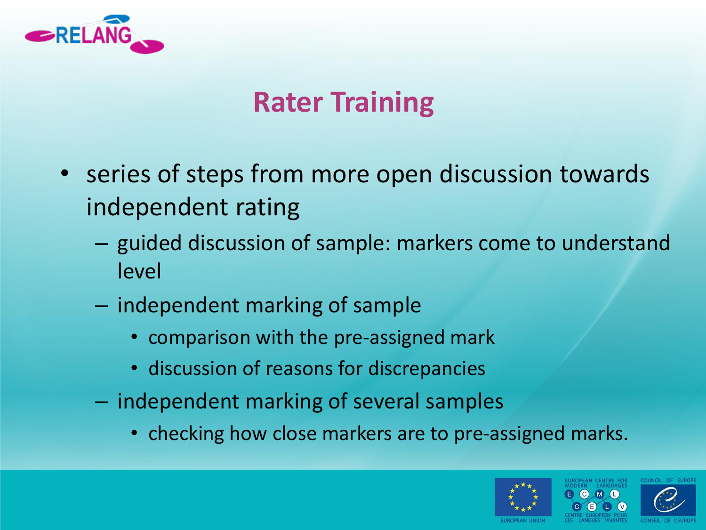

#### **Rater Training**

- series of steps from more open discussion towards independent rating
	- guided discussion of sample: markers come to understand level
	- independent marking of sample
		- comparison with the pre-assigned mark
		- discussion of reasons for discrepancies
	- independent marking of several samples
		- checking how close markers are to pre-assigned marks.